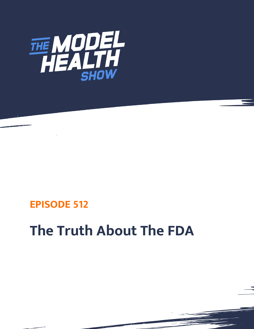

## **EPISODE 512**

## **The Truth About The FDA**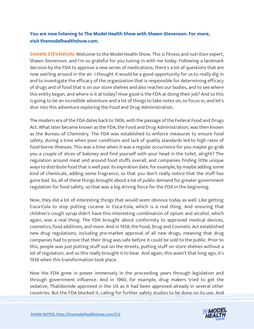## **You are now listening to The Model Health Show with Shawn Stevenson. For more, visit themodelhealthshow.com.**

**SHAWN STEVENSON:** Welcome to the Model Health Show. This is fitness and nutrition expert, Shawn Stevenson, and I'm so grateful for you tuning in with me today. Following a landmark decision by the FDA to approve a new series of medications, there's a lot of questions that are now swirling around in the air. I thought it would be a good opportunity for us to really dig in and to investigate the efficacy of the organization that is responsible for determining efficacy of drugs and of food that is on our store shelves and also reaches our bodies, and to see where this entity began, and where is it at today? How good is the FDA at doing their job? And so this is going to be an incredible adventure and a lot of things to take notes on, so focus in, and let's dive into this adventure exploring the Food and Drug Administration.

The modern era of the FDA dates back to 1906, with the passage of the Federal Food and Drugs Act. What later became known as the FDA, the Food and Drug Administration, was then known as the Bureau of Chemistry. The FDA was established to enforce measures to ensure food safety, during a time when poor conditions and lack of quality standards led to high rates of food-borne illnesses. This was a time when it was a regular occurrence for you maybe go grab you a couple of slices of baloney and find yourself with your head in the toilet, alright? The regulation around meat and around food stuffs overall, and companies finding little unique ways to distribute food that is well past its expiration date, for example, by maybe adding some kind of chemicals, adding some fragrance, so that you don't really notice that the stuff has gone bad. So, all of these things brought about a lot of public demand for greater government regulation for food safety, so that was a big driving force for the FDA in the beginning.

Now, they did a lot of interesting things that would seem obvious today as well. Like getting Coca-Cola to stop putting cocaine in Coca-Cola, which is a real thing. And ensuring that children's cough syrup didn't have this interesting combination of opium and alcohol, which again, was a real thing. The FDA brought about conformity to approved medical devices, cosmetics, food additives, and more. And in 1938, the Food, Drug and Cosmetic Act established new drug regulations, including pre-market approval of all new drugs, meaning that drug companies had to prove that their drug was safe before it could be sold to the public. Prior to this, people was just putting stuff out on the streets, putting stuff on store shelves without a lot of regulation, and so this really brought it to bear. And again, this wasn't that long ago, it's 1938 when this transformation took place.

Now the FDA grew in power immensely in the proceeding years through legislation and through government influence. And in 1960, for example, drug makers tried to get the sedative, Thalidomide approved in the US as it had been approved already in several other countries. But the FDA blocked it, calling for further safety studies to be done on its use. And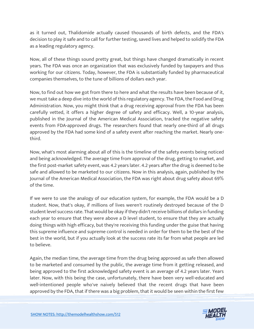as it turned out, Thalidomide actually caused thousands of birth defects, and the FDA's decision to play it safe and to call for further testing, saved lives and helped to solidify the FDA as a leading regulatory agency.

Now, all of these things sound pretty great, but things have changed dramatically in recent years. The FDA was once an organization that was exclusively funded by taxpayers and thus working for our citizens. Today, however, the FDA is substantially funded by pharmaceutical companies themselves, to the tune of billions of dollars each year.

Now, to find out how we got from there to here and what the results have been because of it, we must take a deep dive into the world of this regulatory agency. The FDA, the Food and Drug Administration. Now, you might think that a drug receiving approval from the FDA has been carefully vetted, it offers a higher degree of safety and efficacy. Well, a 10-year analysis, published in the Journal of the American Medical Association, tracked the negative safety events from FDA-approved drugs. The researchers found that nearly one-third of all drugs approved by the FDA had some kind of a safety event after reaching the market. Nearly onethird.

Now, what's most alarming about all of this is the timeline of the safety events being noticed and being acknowledged. The average time from approval of the drug, getting to market, and the first post-market safety event, was 4.2 years later. 4.2 years after the drug is deemed to be safe and allowed to be marketed to our citizens. Now in this analysis, again, published by the Journal of the American Medical Association, the FDA was right about drug safety about 69% of the time.

If we were to use the analogy of our education system, for example, the FDA would be a D student. Now, that's okay, if millions of lives weren't routinely destroyed because of the D student level success rate. That would be okay if they didn't receive billions of dollars in funding each year to ensure that they were above a D level student, to ensure that they are actually doing things with high efficacy, but they're receiving this funding under the guise that having this supreme influence and supreme control is needed in order for them to be the best of the best in the world, but if you actually look at the success rate its far from what people are led to believe.

Again, the median time, the average time from the drug being approved as safe then allowed to be marketed and consumed by the public, the average time from it getting released, and being approved to the first acknowledged safety event is an average of 4.2 years later. Years later. Now, with this being the case, unfortunately, there have been very well-educated and well-intentioned people who've naively believed that the recent drugs that have been approved by the FDA, that if there was a big problem, that it would be seen within the first few

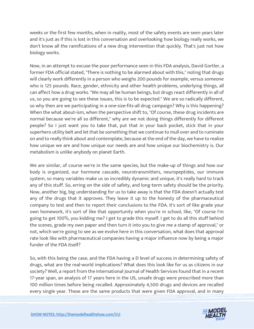weeks or the first few months, when in reality, most of the safety events are seen years later and it's just as if this is lost in this conversation and overlooking how biology really works, we don't know all the ramifications of a new drug intervention that quickly. That's just not how biology works.

Now, in an attempt to excuse the poor performance seen in this FDA analysis, David Gortler, a former FDA official stated, "There is nothing to be alarmed about with this," noting that drugs will clearly work differently in a person who weighs 200 pounds for example, versus someone who is 125 pounds. Race, gender, ethnicity and other health problems, underlying things, all can affect how a drug works. "We may all be human beings, but drugs react differently in all of us, so you are going to see these issues, this is to be expected." We are so radically different, so why then are we participating in a one-size-fits-all drug campaign? Why is this happening? When the what about-ism, when the perspective shift to, "Of course, these drug incidents are normal because we're all so different," why are we not doing things differently for different people? So I just want you to take that, put that in your back pocket, stick that in your superhero utility belt and let that be something that we continue to mull over and to ruminate on and to really think about and contemplate, because at the end of the day, we have to realize how unique we are and how unique our needs are and how unique our biochemistry is. Our metabolism is unlike anybody on planet Earth.

We are similar, of course we're in the same species, but the make-up of things and how our body is organized, our hormone cascade, neurotransmitters, neuropeptides, our immune system, so many variables make us so incredibly dynamic and unique, it's really hard to track any of this stuff. So, erring on the side of safety, and long-term safety should be the priority. Now, another big, big understanding for us to take away is that the FDA doesn't actually test any of the drugs that it approves. They leave it up to the honesty of the pharmaceutical company to test and then to report their conclusions to the FDA. It's sort of like grade your own homework, it's sort of like that opportunity when you're in school, like, "Of course I'm going to get 100%, you kidding me? I get to grade this myself. I get to do all this stuff behind the scenes, grade my own paper and then turn it into you to give me a stamp of approval," or not, which we're going to see as we evolve here in this conversation, what does that approval rate look like with pharmaceutical companies having a major influence now by being a major funder of the FDA itself?

So, with this being the case, and the FDA having a D level of success in determining safety of drugs, what are the real-world implications? What does this look like for us as citizens in our society? Well, a report from the International Journal of Health Services found that in a recent 17-year span, an analysis of 17 years here in the US, unsafe drugs were prescribed more than 100 million times before being recalled. Approximately 4,500 drugs and devices are recalled every single year. These are the same products that were given FDA approval, and in many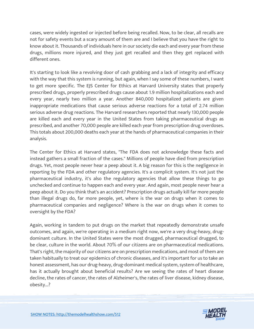cases, were widely ingested or injected before being recalled. Now, to be clear, all recalls are not for safety events but a scary amount of them are and I believe that you have the right to know about it. Thousands of individuals here in our society die each and every year from these drugs, millions more injured, and they just get recalled and then they get replaced with different ones.

It's starting to look like a revolving door of cash grabbing and a lack of integrity and efficacy with the way that this system is running, but again, when I say some of these numbers, I want to get more specific. The EJS Center for Ethics at Harvard University states that properly prescribed drugs, properly prescribed drugs cause about 1.9 million hospitalizations each and every year, nearly two million a year. Another 840,000 hospitalized patients are given inappropriate medications that cause serious adverse reactions for a total of 2.74 million serious adverse drug reactions. The Harvard researchers reported that nearly 130,000 people are killed each and every year in the United States from taking pharmaceutical drugs as prescribed, and another 70,000 people are killed each year from prescription drug overdoses. This totals about 200,000 deaths each year at the hands of pharmaceutical companies in their analysis.

The Center for Ethics at Harvard states, "The FDA does not acknowledge these facts and instead gathers a small fraction of the cases." Millions of people have died from prescription drugs. Yet, most people never hear a peep about it. A big reason for this is the negligence in reporting by the FDA and other regulatory agencies. It's a complicit system. It's not just the pharmaceutical industry, it's also the regulatory agencies that allow these things to go unchecked and continue to happen each and every year. And again, most people never hear a peep about it. Do you think that's an accident? Prescription drugs actually kill far more people than illegal drugs do, far more people, yet, where is the war on drugs when it comes to pharmaceutical companies and negligence? Where is the war on drugs when it comes to oversight by the FDA?

Again, working in tandem to put drugs on the market that repeatedly demonstrate unsafe outcomes, and again, we're operating in a medium right now, we're a very drug-heavy, drugdominant culture. In the United States were the most drugged, pharmaceutical drugged, to be clear, culture in the world. About 70% of our citizens are on pharmaceutical medications. That's right, the majority of our citizens are on prescription medications, and most of them are taken habitually to treat our epidemics of chronic diseases, and it's important for us to take an honest assessment, has our drug-heavy, drug-dominant medical system, system of healthcare, has it actually brought about beneficial results? Are we seeing the rates of heart disease decline, the rates of cancer, the rates of Alzheimer's, the rates of liver disease, kidney disease, obesity...?

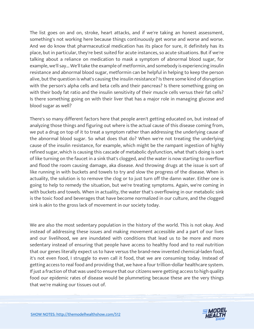The list goes on and on, stroke, heart attacks, and if we're taking an honest assessment, something's not working here because things continuously get worse and worse and worse. And we do know that pharmaceutical medication has its place for sure, it definitely has its place, but in particular, they're best suited for acute instances, so acute situations. But if we're talking about a reliance on medication to mask a symptom of abnormal blood sugar, for example, we'll say... We'll take the example of metformin, and somebody is experiencing insulin resistance and abnormal blood sugar, metformin can be helpful in helping to keep the person alive, but the question is what's causing the insulin resistance? Is there some kind of disruption with the person's alpha cells and beta cells and their pancreas? Is there something going on with their body fat ratio and the insulin sensitivity of their muscle cells versus their fat cells? Is there something going on with their liver that has a major role in managing glucose and blood sugar as well?

There's so many different factors here that people aren't getting educated on, but instead of analyzing those things and figuring out where is the actual cause of this disease coming from, we put a drug on top of it to treat a symptom rather than addressing the underlying cause of the abnormal blood sugar. So what does that do? When we're not treating the underlying cause of the insulin resistance, for example, which might be the rampant ingestion of highly refined sugar, which is causing this cascade of metabolic dysfunction, what that's doing is sort of like turning on the faucet in a sink that's clogged, and the water is now starting to overflow and flood the room causing damage, aka disease. And throwing drugs at the issue is sort of like running in with buckets and towels to try and slow the progress of the disease. When in actuality, the solution is to remove the clog or to just turn off the damn water. Either one is going to help to remedy the situation, but we're treating symptoms. Again, we're coming in with buckets and towels. When in actuality, the water that's overflowing in our metabolic sink is the toxic food and beverages that have become normalized in our culture, and the clogged sink is akin to the gross lack of movement in our society today.

We are also the most sedentary population in the history of the world. This is not okay. And instead of addressing these issues and making movement accessible and a part of our lives and our livelihood, we are inundated with conditions that lead us to be more and more sedentary instead of ensuring that people have access to healthy food and to real nutrition that our genes literally expect us to have versus the brand-new invented chemical-laden food, it's not even food, I struggle to even call it food, that we are consuming today. Instead of getting access to real food and providing that, we have a four trillion-dollar healthcare system. If just a fraction of that was used to ensure that our citizens were getting access to high quality food our epidemic rates of disease would be plummeting because these are the very things that we're making our tissues out of.

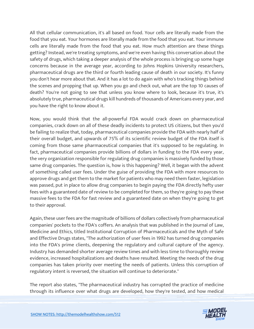All that cellular communication, it's all based on food. Your cells are literally made from the food that you eat. Your hormones are literally made from the food that you eat. Your immune cells are literally made from the food that you eat. How much attention are these things getting? Instead, we're treating symptoms, and we're even having this conversation about the safety of drugs, which taking a deeper analysis of the whole process is bringing up some huge concerns because in the average year, according to Johns Hopkins University researchers, pharmaceutical drugs are the third or fourth leading cause of death in our society. It's funny you don't hear more about that. And it has a lot to do again with who's tracking things behind the scenes and propping that up. When you go and check out, what are the top 10 causes of death? You're not going to see that unless you know where to look, because it's true, it's absolutely true, pharmaceutical drugs kill hundreds of thousands of Americans every year, and you have the right to know about it.

Now, you would think that the all-powerful FDA would crack down on pharmaceutical companies, crack down on all of these deadly incidents to protect US citizens, but then you'd be failing to realize that, today, pharmaceutical companies provide the FDA with nearly half of their overall budget, and upwards of 75% of its scientific review budget of the FDA itself is coming from those same pharmaceutical companies that it's supposed to be regulating. In fact, pharmaceutical companies provide billions of dollars in funding to the FDA every year, the very organization responsible for regulating drug companies is massively funded by those same drug companies. The question is, how is this happening? Well, it began with the advent of something called user fees. Under the guise of providing the FDA with more resources to approve drugs and get them to the market for patients who may need them faster, legislation was passed, put in place to allow drug companies to begin paying the FDA directly hefty user fees with a guaranteed date of review to be completed for them, so they're going to pay these massive fees to the FDA for fast review and a guaranteed date on when they're going to get to their approval.

Again, these user fees are the magnitude of billions of dollars collectively from pharmaceutical companies' pockets to the FDA's coffers. An analysis that was published in the Journal of Law, Medicine and Ethics, titled Institutional Corruption of Pharmaceuticals and the Myth of Safe and Effective Drugs states, "The authorization of user fees in 1992 has turned drug companies into the FDA's prime clients, deepening the regulatory and cultural capture of the agency. Industry has demanded shorter average review times and with less time to thoroughly review evidence, increased hospitalizations and deaths have resulted. Meeting the needs of the drug companies has taken priority over meeting the needs of patients. Unless this corruption of regulatory intent is reversed, the situation will continue to deteriorate."

The report also states, "The pharmaceutical industry has corrupted the practice of medicine through its influence over what drugs are developed, how they're tested, and how medical

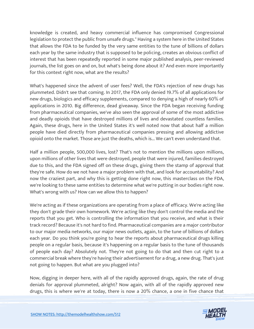knowledge is created, and heavy commercial influence has compromised Congressional legislation to protect the public from unsafe drugs." Having a system here in the United States that allows the FDA to be funded by the very same entities to the tune of billions of dollars each year by the same industry that is supposed to be policing, creates an obvious conflict of interest that has been repeatedly reported in some major published analysis, peer-reviewed journals, the list goes on and on, but what's being done about it? And even more importantly for this context right now, what are the results?

What's happened since the advent of user fees? Well, the FDA's rejection of new drugs has plummeted. Didn't see that coming. In 2017, the FDA only denied 19.7% of all applications for new drugs, biologics and efficacy supplements, compared to denying a high of nearly 60% of applications in 2010. Big difference, dead giveaway. Since the FDA began receiving funding from pharmaceutical companies, we've also seen the approval of some of the most addictive and deadly opioids that have destroyed millions of lives and devastated countless families. Again, these drugs, here in the United States it's well noted now that about half a million people have died directly from pharmaceutical companies pressing and allowing addictive opioid onto the market. Those are just the deaths, which is... We can't even understand that.

Half a million people, 500,000 lives, lost? That's not to mention the millions upon millions, upon millions of other lives that were destroyed, people that were injured, families destroyed due to this, and the FDA signed off on these drugs, giving them the stamp of approval that they're safe. How do we not have a major problem with that, and look for accountability? And now the craziest part, and why this is getting done right now, this masterclass on the FDA, we're looking to these same entities to determine what we're putting in our bodies right now. What's wrong with us? How can we allow this to happen?

We're acting as if these organizations are operating from a place of efficacy. We're acting like they don't grade their own homework. We're acting like they don't control the media and the reports that you get. Who is controlling the information that you receive, and what is their track record? Because it's not hard to find. Pharmaceutical companies are a major contributor to our major media networks, our major news outlets, again, to the tune of billions of dollars each year. Do you think you're going to hear the reports about pharmaceutical drugs killing people on a regular basis, because it's happening on a regular basis to the tune of thousands of people each day? Absolutely not. They're not going to do that and then cut right to a commercial break where they're having their advertisement for a drug, a new drug. That's just not going to happen. But what are you plugged into?

Now, digging in deeper here, with all of the rapidly approved drugs, again, the rate of drug denials for approval plummeted, alright? Now again, with all of the rapidly approved new drugs, this is where we're at today, there is now a 20% chance, a one in five chance that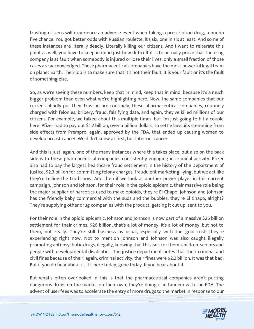trusting citizens will experience an adverse event when taking a prescription drug, a one-in five chance. You got better odds with Russian roulette, it's six, one in six at least. And some of these instances are literally deadly. Literally killing our citizens. And I want to reiterate this point as well, you have to keep in mind just how difficult it is to actually prove that the drug company is at fault when somebody is injured or lose their lives, only a small fraction of those cases are acknowledged. These pharmaceutical companies have the most powerful legal team on planet Earth. Their job is to make sure that it's not their fault, it is your fault or it's the fault of something else.

So, as we're seeing these numbers, keep that in mind, keep that in mind, because it's a much bigger problem than even what we're highlighting here. Now, the same companies that our citizens blindly put their trust in are routinely, these pharmaceutical companies, routinely charged with felonies, bribery, fraud, falsifying data, and again, they've killed millions of our citizens. For example, we talked about this multiple times, but I'm just going to hit a couple here. Pfizer had to pay out \$1.2 billion, over a billion dollars, to settle lawsuits stemming from side effects from Prempro, again, approved by the FDA, that ended up causing women to develop breast cancer. We didn't know at first, but later on, cancer.

And this is just, again, one of the many instances where this takes place, but also on the back side with these pharmaceutical companies consistently engaging in criminal activity. Pfizer also had to pay the largest healthcare fraud settlement in the history of the Department of Justice, \$2.3 billion for committing felony charges, fraudulent marketing, lying, but we act like they're telling the truth now. And then if we look at another power player in this current campaign, Johnson and Johnson, for their role in the opioid epidemic, their massive role being the major supplier of narcotics used to make opioids, they're El Chapo. Johnson and Johnson has the friendly baby commercial with the suds and the bubbles, they're El Chapo, alright? They're supplying other drug companies with the product, getting it cut up, sent to you.

For their role in the opioid epidemic, Johnson and Johnson is now part of a massive \$26 billion settlement for their crimes, \$26 billion, that's a lot of money. It's a lot of money, but not to them, not really. They're still business as usual, especially with the gold rush they're experiencing right now. Not to mention Johnson and Johnson was also caught illegally promoting anti-psychotic drugs, illegally, knowing that this isn't for them, children, seniors and people with developmental disabilities. The justice department notes that their criminal and civil fines because of their, again, criminal activity, their fines were \$2.2 billion. It was that bad. But if you do hear about it, it's here today, gone today. If you hear about it.

But what's often overlooked in this is that the pharmaceutical companies aren't putting dangerous drugs on the market on their own, they're doing it in tandem with the FDA. The advent of user fees was to accelerate the entry of more drugs to the market in response to our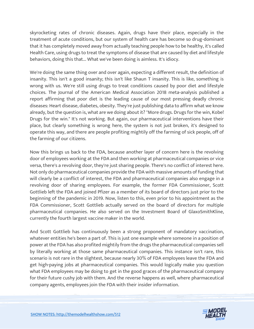skyrocketing rates of chronic diseases. Again, drugs have their place, especially in the treatment of acute conditions, but our system of health care has become so drug-dominant that it has completely moved away from actually teaching people how to be healthy, it's called Health Care, using drugs to treat the symptoms of disease that are caused by diet and lifestyle behaviors, doing this that... What we've been doing is aimless. It's idiocy.

We're doing the same thing over and over again, expecting a different result, the definition of insanity. This isn't a good insanity; this isn't like Shaun T insanity. This is like, something is wrong with us. We're still using drugs to treat conditions caused by poor diet and lifestyle choices. The Journal of the American Medical Association 2018 meta-analysis published a report affirming that poor diet is the leading cause of our most pressing deadly chronic diseases: Heart disease, diabetes, obesity. They're just publishing data to affirm what we know already, but the question is, what are we doing about it? "More drugs. Drugs for the win, Kobe! Drugs for the win." It's not working. But again, our pharmaceutical interventions have their place, but clearly something is wrong here, the system is not just broken, it's designed to operate this way, and there are people profiting mightily off the farming of sick people, off of the farming of our citizens.

Now this brings us back to the FDA, because another layer of concern here is the revolving door of employees working at the FDA and then working at pharmaceutical companies or vice versa, there's a revolving door, they're just sharing people. There's no conflict of interest here. Not only do pharmaceutical companies provide the FDA with massive amounts of funding that will clearly be a conflict of interest, the FDA and pharmaceutical companies also engage in a revolving door of sharing employees. For example, the former FDA Commissioner, Scott Gottlieb left the FDA and joined Pfizer as a member of its board of directors just prior to the beginning of the pandemic in 2019. Now, listen to this, even prior to his appointment as the FDA Commissioner, Scott Gottlieb actually served on the board of directors for multiple pharmaceutical companies. He also served on the Investment Board of GlaxoSmithKline, currently the fourth largest vaccine maker in the world.

And Scott Gottlieb has continuously been a strong proponent of mandatory vaccination, whatever entities he's been a part of. This is just one example where someone in a position of power at the FDA has also profited mightily from the drugs the pharmaceutical companies sell by literally working at those same pharmaceutical companies. This instance isn't rare, this scenario is not rare in the slightest, because nearly 30% of FDA employees leave the FDA and get high-paying jobs at pharmaceutical companies. This would logically make you question what FDA employees may be doing to get in the good graces of the pharmaceutical company for their future cushy job with them. And the reverse happens as well, where pharmaceutical company agents, employees join the FDA with their insider information.

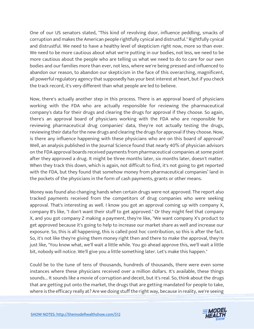One of our US senators stated, "This kind of revolving door, influence peddling, smacks of corruption and makes the American people rightfully cynical and distrustful." Rightfully cynical and distrustful. We need to have a healthy level of skepticism right now, more so than ever. We need to be more cautious about what we're putting in our bodies, not less, we need to be more cautious about the people who are telling us what we need to do to care for our own bodies and our families more than ever, not less, where we're being pressed and influenced to abandon our reason, to abandon our skepticism in the face of this overarching, magnificent, all powerful regulatory agency that supposedly has your best interest at heart, but if you check the track record, it's very different than what people are led to believe.

Now, there's actually another step in this process. There is an approval board of physicians working with the FDA who are actually responsible for reviewing the pharmaceutical company's data for their drugs and clearing the drugs for approval if they choose. So again, there's an approval board of physicians working with the FDA who are responsible for reviewing pharmaceutical drug companies' data, they're not actually testing the drugs, reviewing their data for the new drugs and clearing the drugs for approval if they choose. Now, is there any influence happening with these physicians who are on this board of approval? Well, an analysis published in the Journal Science found that nearly 40% of physician advisors on the FDA approval boards received payments from pharmaceutical companies at some point after they approved a drug. It might be three months later, six months later, doesn't matter. When they track this down, which is again, not difficult to find, it's not going to get reported with the FDA, but they found that somehow money from pharmaceutical companies' land in the pockets of the physicians in the form of cash payments, grants or other means.

Money was found also changing hands when certain drugs were not approved. The report also tracked payments received from the competitors of drug companies who were seeking approval. That's interesting as well. I know you got an approval coming up with company X, company B's like, "I don't want their stuff to get approved." Or they might feel that company X, and you got company Z making a payment, they're like, "We want company X's product to get approved because it's going to help to increase our market share as well and increase our exposure. So, this is all happening, this is called post hoc contribution, so this is after the fact. So, it's not like they're giving them money right then and there to make the approval, they're just like, "You know what, we'll wait a little while. You go ahead approve this, we'll wait a little bit, nobody will notice. We'll give you a little something later. Let's make this happen."

Could be to the tune of tens of thousands, hundreds of thousands, there were even some instances where these physicians received over a million dollars. It's available, these things sounds... It sounds like a movie of corruption and deceit, but it's real. So, think about the drugs that are getting put onto the market, the drugs that are getting mandated for people to take, where is the efficacy really at? Are we doing stuff the right way, because in reality, we're seeing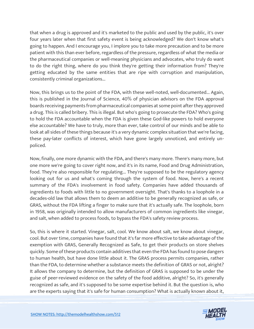that when a drug is approved and it's marketed to the public and used by the public, it's over four years later when that first safety event is being acknowledged? We don't know what's going to happen. And I encourage you, I implore you to take more precaution and to be more patient with this than ever before, regardless of the pressure, regardless of what the media or the pharmaceutical companies or well-meaning physicians and advocates, who truly do want to do the right thing, where do you think they're getting their information from? They're getting educated by the same entities that are ripe with corruption and manipulation, consistently criminal organizations...

Now, this brings us to the point of the FDA, with these well-noted, well-documented... Again, this is published in the Journal of Science, 40% of physician advisors on the FDA approval boards receiving payments from pharmaceutical companies at some point after they approved a drug. This is called bribery. This is illegal. But who's going to prosecute the FDA? Who's going to hold the FDA accountable when the FDA is given these God-like powers to hold everyone else accountable? We have to truly, more than ever, take control of our minds and be able to look at all sides of these things because it's a very dynamic complex situation that we're facing, these pay-later conflicts of interest, which have gone largely unnoticed, and entirely unpoliced.

Now, finally, one more dynamic with the FDA, and there's many more. There's many more, but one more we're going to cover right now, and it's in its name, Food and Drug Administration, food. They're also responsible for regulating... They're supposed to be the regulatory agency looking out for us and what's coming through the system of food. Now, here's a recent summary of the FDA's involvement in food safety. Companies have added thousands of ingredients to foods with little to no government oversight. That's thanks to a loophole in a decades-old law that allows them to deem an additive to be generally recognized as safe, or GRAS, without the FDA lifting a finger to make sure that it's actually safe. The loophole, born in 1958, was originally intended to allow manufacturers of common ingredients like vinegar, and salt, when added to process foods, to bypass the FDA's safety review process.

So, this is where it started. Vinegar, salt, cool. We know about salt, we know about vinegar, cool. But over time, companies have found that it's far more effective to take advantage of the exemption with GRAS, Generally Recognized as Safe, to get their products on store shelves quickly. Some of these products contain additives that even the FDA has found to pose dangers to human health, but have done little about it. The GRAS process permits companies, rather than the FDA, to determine whether a substance meets the definition of GRAS or not, alright? It allows the company to determine, but the definition of GRAS is supposed to be under the guise of peer-reviewed evidence on the safety of the food additive, alright? So, it's generally recognized as safe, and it's supposed to be some expertise behind it. But the question is, who are the experts saying that it's safe for human consumption? What is actually known about it,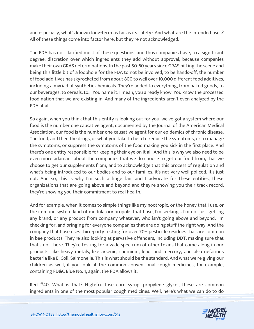and especially, what's known long-term as far as its safety? And what are the intended uses? All of these things come into factor here, but they're not acknowledged.

The FDA has not clarified most of these questions, and thus companies have, to a significant degree, discretion over which ingredients they add without approval, because companies make their own GRAS determinations. In the past 50-60 years since GRAS hitting the scene and being this little bit of a loophole for the FDA to not be involved, to be hands-off, the number of food additives has skyrocketed from about 800 to well over 10,000 different food additives, including a myriad of synthetic chemicals. They're added to everything, from baked goods, to our beverages, to cereals, to... You name it. I mean, you already know. You know the processed food nation that we are existing in. And many of the ingredients aren't even analyzed by the FDA at all.

So again, when you think that this entity is looking out for you, we've got a system where our food is the number one causative agent, documented by the Journal of the American Medical Association, our food is the number one causative agent for our epidemics of chronic disease. The food, and then the drugs, or what you take to help to reduce the symptoms, or to manage the symptoms, or suppress the symptoms of the food making you sick in the first place. And there's one entity responsible for keeping their eye on it all. And this is why we also need to be even more adamant about the companies that we do choose to get our food from, that we choose to get our supplements from, and to acknowledge that this process of regulation and what's being introduced to our bodies and to our families, it's not very well policed. It's just not. And so, this is why I'm such a huge fan, and I advocate for these entities, these organizations that are going above and beyond and they're showing you their track record, they're showing you their commitment to real health.

And for example, when it comes to simple things like my nootropic, or the honey that I use, or the immune system kind of modulatory propolis that I use, I'm seeking... I'm not just getting any brand, or any product from company whatever, who isn't going above and beyond. I'm checking for, and bringing for everyone companies that are doing stuff the right way. And the company that I use uses third-party testing for over 70+ pesticide residues that are common in bee products. They're also looking at pervasive offenders, including DDT, making sure that that's not there. They're testing for a wide spectrum of other toxins that come along in our products, like heavy metals, like arsenic, cadmium, lead, and mercury, and also nefarious bacteria like E. Coli, Salmonella. This is what should be the standard. And what we're giving our children as well, if you look at the common conventional cough medicines, for example, containing FD&C Blue No. 1, again, the FDA allows it.

Red #40. What is that? High-fructose corn syrup, propylene glycol, these are common ingredients in one of the most popular cough medicines. Well, here's what we can do to do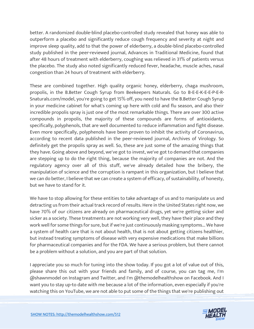better. A randomized double-blind placebo-controlled study revealed that honey was able to outperform a placebo and significantly reduce cough frequency and severity at night and improve sleep quality, add to that the power of elderberry, a double-blind placebo-controlled study published in the peer-reviewed journal, Advances in Traditional Medicine, found that after 48 hours of treatment with elderberry, coughing was relieved in 31% of patients versus the placebo. The study also noted significantly reduced fever, headache, muscle aches, nasal congestion than 24 hours of treatment with elderberry.

These are combined together. High quality organic honey, elderberry, chaga mushroom, propolis, in the B.Better Cough Syrup from Beekeepers Naturals. Go to B-E-E-K-E-E-P-E-R-Snaturals.com/model, you're going to get 15% off, you need to have the B.Better Cough Syrup in your medicine cabinet for what's coming up here with cold and flu season, and also their incredible propolis spray is just one of the most remarkable things. There are over 300 active compounds in propolis, the majority of these compounds are forms of antioxidants, specifically, polyphenols, that are well documented to reduce inflammation and fight disease. Even more specifically, polyphenols have been proven to inhibit the activity of Coronavirus, according to recent data published in the peer-reviewed journal, Archives of Virology. So definitely get the propolis spray as well. So, these are just some of the amazing things that they have. Going above and beyond, we've got to invest, we've got to demand that companies are stepping up to do the right thing, because the majority of companies are not. And the regulatory agency over all of this stuff, we've already detailed how the bribery, the manipulation of science and the corruption is rampant in this organization, but I believe that we can do better, I believe that we can create a system of efficacy, of sustainability, of honesty, but we have to stand for it.

We have to stop allowing for these entities to take advantage of us and to manipulate us and detracting us from their actual track record of results. Here in the United States right now, we have 70% of our citizens are already on pharmaceutical drugs, yet we're getting sicker and sicker as a society. These treatments are not working very well, they have their place and they work well for some things for sure, but if we're just continuously masking symptoms... We have a system of health care that is not about health, that is not about getting citizens healthier, but instead treating symptoms of disease with very expensive medications that make billions for pharmaceutical companies and for the FDA. We have a serious problem, but there cannot be a problem without a solution, and you are part of that solution.

I appreciate you so much for tuning into the show today. If you got a lot of value out of this, please share this out with your friends and family, and of course, you can tag me, I'm @shawnmodel on Instagram and Twitter, and I'm @themodelhealthshow on Facebook. And I want you to stay up-to date with me because a lot of the information, even especially if you're watching this on YouTube, we are not able to put some of the things that we're publishing out